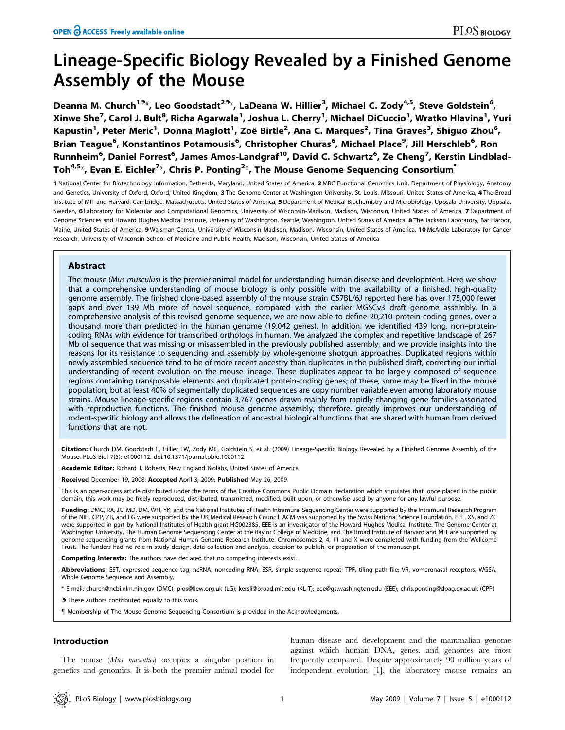# Lineage-Specific Biology Revealed by a Finished Genome Assembly of the Mouse

Deanna M. Church<sup>19</sup>\*, Leo Goodstadt<sup>29</sup>\*, LaDeana W. Hillier<sup>3</sup>, Michael C. Zody<sup>4,5</sup>, Steve Goldstein<sup>6</sup>, Xinwe She<sup>7</sup>, Carol J. Bult<sup>8</sup>, Richa Agarwala<sup>1</sup>, Joshua L. Cherry<sup>1</sup>, Michael DiCuccio<sup>1</sup>, Wratko Hlavina<sup>1</sup>, Yuri Kapustin<sup>1</sup>, Peter Meric<sup>1</sup>, Donna Maglott<sup>1</sup>, Zoë Birtle<sup>2</sup>, Ana C. Marques<sup>2</sup>, Tina Graves<sup>3</sup>, Shiguo Zhou<sup>6</sup>, Brian Teague<sup>6</sup>, Konstantinos Potamousis<sup>6</sup>, Christopher Churas<sup>6</sup>, Michael Place<sup>9</sup>, Jill Herschleb<sup>6</sup>, Ron Runnheim<sup>6</sup>, Daniel Forrest<sup>6</sup>, James Amos-Landgraf<sup>10</sup>, David C. Schwartz<sup>6</sup>, Ze Cheng<sup>7</sup>, Kerstin Lindblad-Toh $^{4,5}$ \*, Evan E. Eichler $^{7}$ \*, Chris P. Ponting $^{2}$ \*, The Mouse Genome Sequencing Consortium $^\P$ 

1 National Center for Biotechnology Information, Bethesda, Maryland, United States of America, 2 MRC Functional Genomics Unit, Department of Physiology, Anatomy and Genetics, University of Oxford, Oxford, United Kingdom, 3 The Genome Center at Washington University, St. Louis, Missouri, United States of America, 4 The Broad Institute of MIT and Harvard, Cambridge, Massachusetts, United States of America, 5 Department of Medical Biochemistry and Microbiology, Uppsala University, Uppsala, Sweden, 6 Laboratory for Molecular and Computational Genomics, University of Wisconsin-Madison, Madison, Wisconsin, United States of America, 7 Department of Genome Sciences and Howard Hughes Medical Institute, University of Washington, Seattle, Washington, United States of America, 8 The Jackson Laboratory, Bar Harbor, Maine, United States of America, 9 Waisman Center, University of Wisconsin-Madison, Madison, Wisconsin, United States of America, 10 McArdle Laboratory for Cancer Research, University of Wisconsin School of Medicine and Public Health, Madison, Wisconsin, United States of America

## Abstract

The mouse (Mus musculus) is the premier animal model for understanding human disease and development. Here we show that a comprehensive understanding of mouse biology is only possible with the availability of a finished, high-quality genome assembly. The finished clone-based assembly of the mouse strain C57BL/6J reported here has over 175,000 fewer gaps and over 139 Mb more of novel sequence, compared with the earlier MGSCv3 draft genome assembly. In a comprehensive analysis of this revised genome sequence, we are now able to define 20,210 protein-coding genes, over a thousand more than predicted in the human genome (19,042 genes). In addition, we identified 439 long, non–proteincoding RNAs with evidence for transcribed orthologs in human. We analyzed the complex and repetitive landscape of 267 Mb of sequence that was missing or misassembled in the previously published assembly, and we provide insights into the reasons for its resistance to sequencing and assembly by whole-genome shotgun approaches. Duplicated regions within newly assembled sequence tend to be of more recent ancestry than duplicates in the published draft, correcting our initial understanding of recent evolution on the mouse lineage. These duplicates appear to be largely composed of sequence regions containing transposable elements and duplicated protein-coding genes; of these, some may be fixed in the mouse population, but at least 40% of segmentally duplicated sequences are copy number variable even among laboratory mouse strains. Mouse lineage-specific regions contain 3,767 genes drawn mainly from rapidly-changing gene families associated with reproductive functions. The finished mouse genome assembly, therefore, greatly improves our understanding of rodent-specific biology and allows the delineation of ancestral biological functions that are shared with human from derived functions that are not.

Citation: Church DM, Goodstadt L, Hillier LW, Zody MC, Goldstein S, et al. (2009) Lineage-Specific Biology Revealed by a Finished Genome Assembly of the Mouse. PLoS Biol 7(5): e1000112. doi:10.1371/journal.pbio.1000112

Academic Editor: Richard J. Roberts, New England Biolabs, United States of America

Received December 19, 2008; Accepted April 3, 2009; Published May 26, 2009

This is an open-access article distributed under the terms of the Creative Commons Public Domain declaration which stipulates that, once placed in the public domain, this work may be freely reproduced, distributed, transmitted, modified, built upon, or otherwise used by anyone for any lawful purpose.

Funding: DMC, RA, JC, MD, DM, WH, YK, and the National Institutes of Health Intramural Sequencing Center were supported by the Intramural Research Program of the NIH. CPP, ZB, and LG were supported by the UK Medical Research Council. ACM was supported by the Swiss National Science Foundation. EEE, XS, and ZC were supported in part by National Institutes of Health grant HG002385. EEE is an investigator of the Howard Hughes Medical Institute. The Genome Center at Washington University, The Human Genome Sequencing Center at the Baylor College of Medicine, and The Broad Institute of Harvard and MIT are supported by genome sequencing grants from National Human Genome Research Institute. Chromosomes 2, 4, 11 and X were completed with funding from the Wellcome Trust. The funders had no role in study design, data collection and analysis, decision to publish, or preparation of the manuscript.

Competing Interests: The authors have declared that no competing interests exist.

Abbreviations: EST, expressed sequence tag; ncRNA, noncoding RNA; SSR, simple sequence repeat; TPF, tiling path file; VR, vomeronasal receptors; WGSA, Whole Genome Sequence and Assembly.

\* E-mail: church@ncbi.nlm.nih.gov (DMC); plos@llew.org.uk (LG); kersli@broad.mit.edu (KL-T); eee@gs.washington.edu (EEE); chris.ponting@dpag.ox.ac.uk (CPP)

. These authors contributed equally to this work.

" Membership of The Mouse Genome Sequencing Consortium is provided in the Acknowledgments.

## Introduction

The mouse (Mus musculus) occupies a singular position in genetics and genomics. It is both the premier animal model for

human disease and development and the mammalian genome against which human DNA, genes, and genomes are most frequently compared. Despite approximately 90 million years of independent evolution [1], the laboratory mouse remains an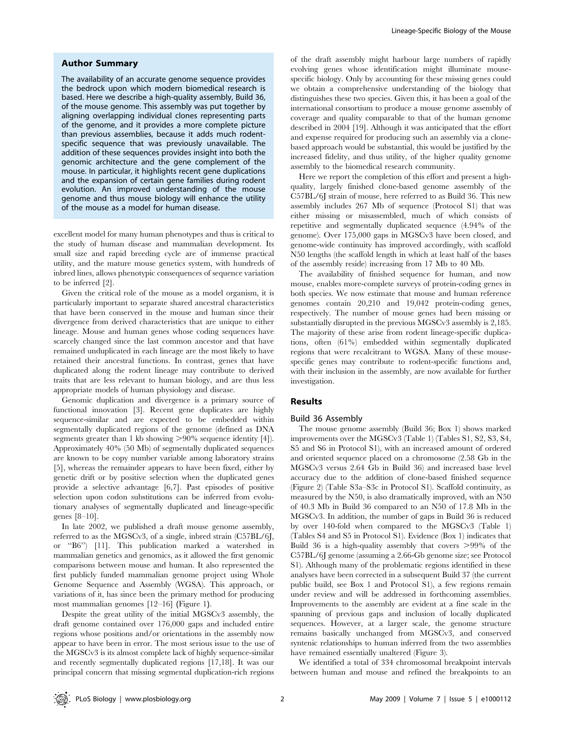## Author Summary

The availability of an accurate genome sequence provides the bedrock upon which modern biomedical research is based. Here we describe a high-quality assembly, Build 36, of the mouse genome. This assembly was put together by aligning overlapping individual clones representing parts of the genome, and it provides a more complete picture than previous assemblies, because it adds much rodentspecific sequence that was previously unavailable. The addition of these sequences provides insight into both the genomic architecture and the gene complement of the mouse. In particular, it highlights recent gene duplications and the expansion of certain gene families during rodent evolution. An improved understanding of the mouse genome and thus mouse biology will enhance the utility of the mouse as a model for human disease.

excellent model for many human phenotypes and thus is critical to the study of human disease and mammalian development. Its small size and rapid breeding cycle are of immense practical utility, and the mature mouse genetics system, with hundreds of inbred lines, allows phenotypic consequences of sequence variation to be inferred [2].

Given the critical role of the mouse as a model organism, it is particularly important to separate shared ancestral characteristics that have been conserved in the mouse and human since their divergence from derived characteristics that are unique to either lineage. Mouse and human genes whose coding sequences have scarcely changed since the last common ancestor and that have remained unduplicated in each lineage are the most likely to have retained their ancestral functions. In contrast, genes that have duplicated along the rodent lineage may contribute to derived traits that are less relevant to human biology, and are thus less appropriate models of human physiology and disease.

Genomic duplication and divergence is a primary source of functional innovation [3]. Recent gene duplicates are highly sequence-similar and are expected to be embedded within segmentally duplicated regions of the genome (defined as DNA segments greater than 1 kb showing  $>90\%$  sequence identity [4]). Approximately 40% (50 Mb) of segmentally duplicated sequences are known to be copy number variable among laboratory strains [5], whereas the remainder appears to have been fixed, either by genetic drift or by positive selection when the duplicated genes provide a selective advantage [6,7]. Past episodes of positive selection upon codon substitutions can be inferred from evolutionary analyses of segmentally duplicated and lineage-specific genes [8–10].

In late 2002, we published a draft mouse genome assembly, referred to as the MGSCv3, of a single, inbred strain (C57BL/6J, or ''B6'') [11]. This publication marked a watershed in mammalian genetics and genomics, as it allowed the first genomic comparisons between mouse and human. It also represented the first publicly funded mammalian genome project using Whole Genome Sequence and Assembly (WGSA). This approach, or variations of it, has since been the primary method for producing most mammalian genomes [12–16] (Figure 1).

Despite the great utility of the initial MGSCv3 assembly, the draft genome contained over 176,000 gaps and included entire regions whose positions and/or orientations in the assembly now appear to have been in error. The most serious issue to the use of the MGSCv3 is its almost complete lack of highly sequence-similar and recently segmentally duplicated regions [17,18]. It was our principal concern that missing segmental duplication-rich regions

of the draft assembly might harbour large numbers of rapidly evolving genes whose identification might illuminate mousespecific biology. Only by accounting for these missing genes could we obtain a comprehensive understanding of the biology that distinguishes these two species. Given this, it has been a goal of the international consortium to produce a mouse genome assembly of coverage and quality comparable to that of the human genome described in 2004 [19]. Although it was anticipated that the effort and expense required for producing such an assembly via a clonebased approach would be substantial, this would be justified by the increased fidelity, and thus utility, of the higher quality genome assembly to the biomedical research community.

Here we report the completion of this effort and present a highquality, largely finished clone-based genome assembly of the C57BL/6J strain of mouse, here referred to as Build 36. This new assembly includes 267 Mb of sequence (Protocol S1) that was either missing or misassembled, much of which consists of repetitive and segmentally duplicated sequence (4.94% of the genome). Over 175,000 gaps in MGSCv3 have been closed, and genome-wide continuity has improved accordingly, with scaffold N50 lengths (the scaffold length in which at least half of the bases of the assembly reside) increasing from 17 Mb to 40 Mb.

The availability of finished sequence for human, and now mouse, enables more-complete surveys of protein-coding genes in both species. We now estimate that mouse and human reference genomes contain 20,210 and 19,042 protein-coding genes, respectively. The number of mouse genes had been missing or substantially disrupted in the previous MGSCv3 assembly is 2,185. The majority of these arise from rodent lineage-specific duplications, often (61%) embedded within segmentally duplicated regions that were recalcitrant to WGSA. Many of these mousespecific genes may contribute to rodent-specific functions and, with their inclusion in the assembly, are now available for further investigation.

## Results

#### Build 36 Assembly

The mouse genome assembly (Build 36; Box 1) shows marked improvements over the MGSCv3 (Table 1) (Tables S1, S2, S3, S4, S5 and S6 in Protocol S1), with an increased amount of ordered and oriented sequence placed on a chromosome (2.58 Gb in the MGSCv3 versus 2.64 Gb in Build 36) and increased base level accuracy due to the addition of clone-based finished sequence (Figure 2) (Table S3a–S3c in Protocol S1). Scaffold continuity, as measured by the N50, is also dramatically improved, with an N50 of 40.3 Mb in Build 36 compared to an N50 of 17.8 Mb in the MGSCv3. In addition, the number of gaps in Build 36 is reduced by over 140-fold when compared to the MGSCv3 (Table 1) (Tables S4 and S5 in Protocol S1). Evidence (Box 1) indicates that Build 36 is a high-quality assembly that covers  $>99\%$  of the C57BL/6J genome (assuming a 2.66-Gb genome size; see Protocol S1). Although many of the problematic regions identified in these analyses have been corrected in a subsequent Build 37 (the current public build, see Box 1 and Protocol S1), a few regions remain under review and will be addressed in forthcoming assemblies. Improvements to the assembly are evident at a fine scale in the spanning of previous gaps and inclusion of locally duplicated sequences. However, at a larger scale, the genome structure remains basically unchanged from MGSCv3, and conserved syntenic relationships to human inferred from the two assemblies have remained essentially unaltered (Figure 3).

We identified a total of 334 chromosomal breakpoint intervals between human and mouse and refined the breakpoints to an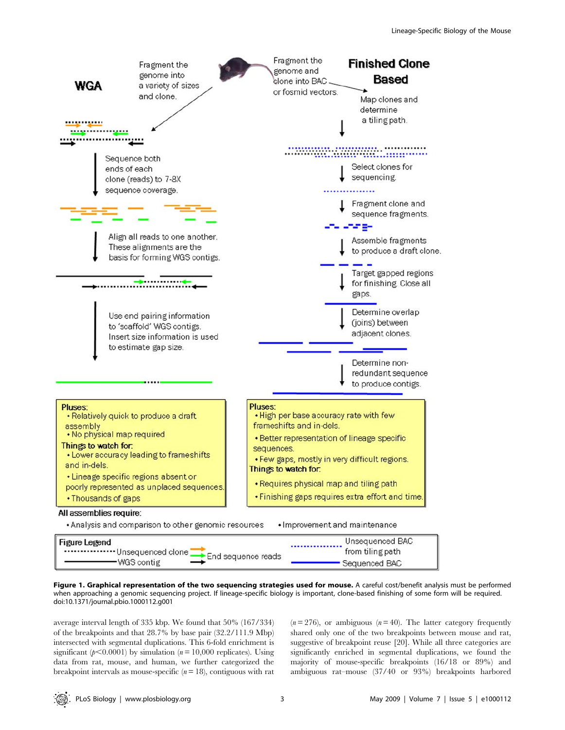

Figure 1. Graphical representation of the two sequencing strategies used for mouse. A careful cost/benefit analysis must be performed when approaching a genomic sequencing project. If lineage-specific biology is important, clone-based finishing of some form will be required.

average interval length of 335 kbp. We found that 50% (167/334) of the breakpoints and that 28.7% by base pair (32.2/111.9 Mbp) intersected with segmental duplications. This 6-fold enrichment is significant ( $p<0.0001$ ) by simulation ( $n = 10,000$  replicates). Using data from rat, mouse, and human, we further categorized the breakpoint intervals as mouse-specific  $(n = 18)$ , contiguous with rat  $(n=276)$ , or ambiguous  $(n=40)$ . The latter category frequently shared only one of the two breakpoints between mouse and rat, suggestive of breakpoint reuse [20]. While all three categories are significantly enriched in segmental duplications, we found the majority of mouse-specific breakpoints (16/18 or 89%) and ambiguous rat–mouse (37/40 or 93%) breakpoints harbored

doi:10.1371/journal.pbio.1000112.g001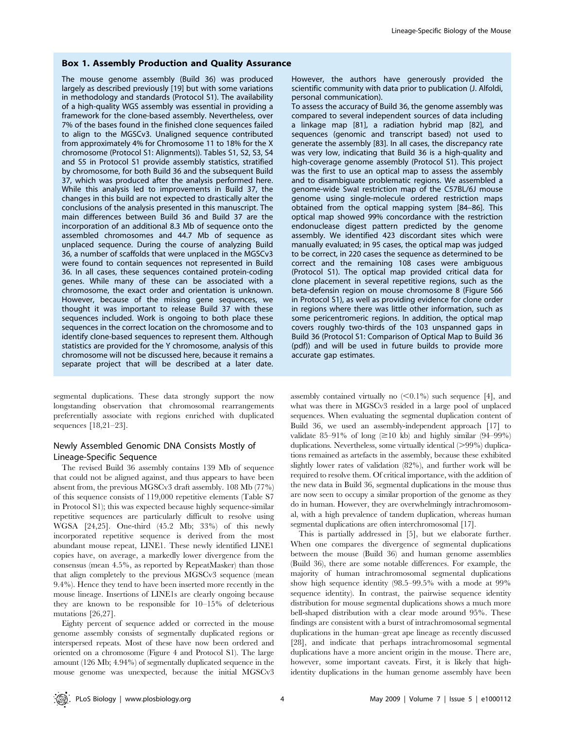#### Box 1. Assembly Production and Quality Assurance

The mouse genome assembly (Build 36) was produced largely as described previously [19] but with some variations in methodology and standards (Protocol S1). The availability of a high-quality WGS assembly was essential in providing a framework for the clone-based assembly. Nevertheless, over 7% of the bases found in the finished clone sequences failed to align to the MGSCv3. Unaligned sequence contributed from approximately 4% for Chromosome 11 to 18% for the X chromosome (Protocol S1: Alignments)). Tables S1, S2, S3, S4 and S5 in Protocol S1 provide assembly statistics, stratified by chromosome, for both Build 36 and the subsequent Build 37, which was produced after the analysis performed here. While this analysis led to improvements in Build 37, the changes in this build are not expected to drastically alter the conclusions of the analysis presented in this manuscript. The main differences between Build 36 and Build 37 are the incorporation of an additional 8.3 Mb of sequence onto the assembled chromosomes and 44.7 Mb of sequence as unplaced sequence. During the course of analyzing Build 36, a number of scaffolds that were unplaced in the MGSCv3 were found to contain sequences not represented in Build 36. In all cases, these sequences contained protein-coding genes. While many of these can be associated with a chromosome, the exact order and orientation is unknown. However, because of the missing gene sequences, we thought it was important to release Build 37 with these sequences included. Work is ongoing to both place these sequences in the correct location on the chromosome and to identify clone-based sequences to represent them. Although statistics are provided for the Y chromosome, analysis of this chromosome will not be discussed here, because it remains a separate project that will be described at a later date.

segmental duplications. These data strongly support the now longstanding observation that chromosomal rearrangements preferentially associate with regions enriched with duplicated sequences [18,21–23].

## Newly Assembled Genomic DNA Consists Mostly of Lineage-Specific Sequence

The revised Build 36 assembly contains 139 Mb of sequence that could not be aligned against, and thus appears to have been absent from, the previous MGSCv3 draft assembly. 108 Mb (77%) of this sequence consists of 119,000 repetitive elements (Table S7 in Protocol S1); this was expected because highly sequence-similar repetitive sequences are particularly difficult to resolve using WGSA [24,25]. One-third (45.2 Mb; 33%) of this newly incorporated repetitive sequence is derived from the most abundant mouse repeat, LINE1. These newly identified LINE1 copies have, on average, a markedly lower divergence from the consensus (mean 4.5%, as reported by RepeatMasker) than those that align completely to the previous MGSCv3 sequence (mean 9.4%). Hence they tend to have been inserted more recently in the mouse lineage. Insertions of LINE1s are clearly ongoing because they are known to be responsible for 10–15% of deleterious mutations [26,27].

Eighty percent of sequence added or corrected in the mouse genome assembly consists of segmentally duplicated regions or interspersed repeats. Most of these have now been ordered and oriented on a chromosome (Figure 4 and Protocol S1). The large amount (126 Mb; 4.94%) of segmentally duplicated sequence in the mouse genome was unexpected, because the initial MGSCv3 However, the authors have generously provided the scientific community with data prior to publication (J. Alfoldi, personal communication).

To assess the accuracy of Build 36, the genome assembly was compared to several independent sources of data including a linkage map [81], a radiation hybrid map [82], and sequences (genomic and transcript based) not used to generate the assembly [83]. In all cases, the discrepancy rate was very low, indicating that Build 36 is a high-quality and high-coverage genome assembly (Protocol S1). This project was the first to use an optical map to assess the assembly and to disambiguate problematic regions. We assembled a genome-wide SwaI restriction map of the C57BL/6J mouse genome using single-molecule ordered restriction maps obtained from the optical mapping system [84–86]. This optical map showed 99% concordance with the restriction endonuclease digest pattern predicted by the genome assembly. We identified 423 discordant sites which were manually evaluated; in 95 cases, the optical map was judged to be correct, in 220 cases the sequence as determined to be correct and the remaining 108 cases were ambiguous (Protocol S1). The optical map provided critical data for clone placement in several repetitive regions, such as the beta-defensin region on mouse chromosome 8 (Figure S66 in Protocol S1), as well as providing evidence for clone order in regions where there was little other information, such as some pericentromeric regions. In addition, the optical map covers roughly two-thirds of the 103 unspanned gaps in Build 36 (Protocol S1: Comparison of Optical Map to Build 36 (pdf)) and will be used in future builds to provide more accurate gap estimates.

assembly contained virtually no  $\langle 0.1\% \rangle$  such sequence [4], and what was there in MGSCv3 resided in a large pool of unplaced sequences. When evaluating the segmental duplication content of Build 36, we used an assembly-independent approach [17] to validate 85–91% of long  $(\geq 10 \text{ kb})$  and highly similar (94–99%) duplications. Nevertheless, some virtually identical  $(>99\%)$  duplications remained as artefacts in the assembly, because these exhibited slightly lower rates of validation (82%), and further work will be required to resolve them. Of critical importance, with the addition of the new data in Build 36, segmental duplications in the mouse thus are now seen to occupy a similar proportion of the genome as they do in human. However, they are overwhelmingly intrachromosomal, with a high prevalence of tandem duplication, whereas human segmental duplications are often interchromosomal [17].

This is partially addressed in [5], but we elaborate further. When one compares the divergence of segmental duplications between the mouse (Build 36) and human genome assemblies (Build 36), there are some notable differences. For example, the majority of human intrachromosomal segmental duplications show high sequence identity (98.5–99.5% with a mode at 99% sequence identity). In contrast, the pairwise sequence identity distribution for mouse segmental duplications shows a much more bell-shaped distribution with a clear mode around 95%. These findings are consistent with a burst of intrachromosomal segmental duplications in the human–great ape lineage as recently discussed [28], and indicate that perhaps intrachromosomal segmental duplications have a more ancient origin in the mouse. There are, however, some important caveats. First, it is likely that highidentity duplications in the human genome assembly have been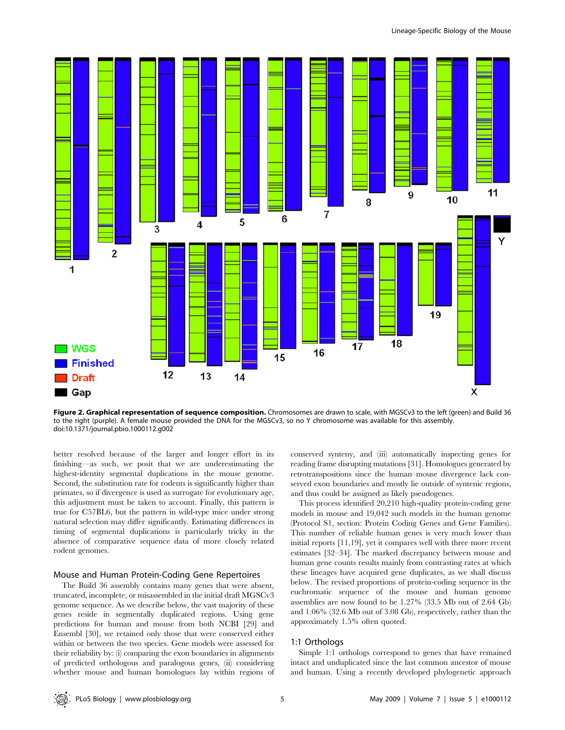

Figure 2. Graphical representation of sequence composition. Chromosomes are drawn to scale, with MGSCv3 to the left (green) and Build 36 to the right (purple). A female mouse provided the DNA for the MGSCv3, so no Y chromosome was available for this assembly. doi:10.1371/journal.pbio.1000112.g002

better resolved because of the larger and longer effort in its finishing—as such, we posit that we are underestimating the highest-identity segmental duplications in the mouse genome. Second, the substitution rate for rodents is significantly higher than primates, so if divergence is used as surrogate for evolutionary age, this adjustment must be taken to account. Finally, this pattern is true for C57BL6, but the pattern in wild-type mice under strong natural selection may differ significantly. Estimating differences in timing of segmental duplications is particularly tricky in the absence of comparative sequence data of more closely related rodent genomes.

## Mouse and Human Protein-Coding Gene Repertoires

The Build 36 assembly contains many genes that were absent, truncated, incomplete, or misassembled in the initial draft MGSCv3 genome sequence. As we describe below, the vast majority of these genes reside in segmentally duplicated regions. Using gene predictions for human and mouse from both NCBI [29] and Ensembl [30], we retained only those that were conserved either within or between the two species. Gene models were assessed for their reliability by: (i) comparing the exon boundaries in alignments of predicted orthologous and paralogous genes, (ii) considering whether mouse and human homologues lay within regions of conserved synteny, and (iii) automatically inspecting genes for reading frame disrupting mutations [31]. Homologues generated by retrotranspositions since the human–mouse divergence lack conserved exon boundaries and mostly lie outside of syntenic regions, and thus could be assigned as likely pseudogenes.

This process identified 20,210 high-quality protein-coding gene models in mouse and 19,042 such models in the human genome (Protocol S1, section: Protein Coding Genes and Gene Families). This number of reliable human genes is very much lower than initial reports [11,19], yet it compares well with three more recent estimates [32–34]. The marked discrepancy between mouse and human gene counts results mainly from contrasting rates at which these lineages have acquired gene duplicates, as we shall discuss below. The revised proportions of protein-coding sequence in the euchromatic sequence of the mouse and human genome assemblies are now found to be 1.27% (33.5 Mb out of 2.64 Gb) and 1.06% (32.6 Mb out of 3.08 Gb), respectively, rather than the approximately 1.5% often quoted.

#### 1:1 Orthologs

Simple 1:1 orthologs correspond to genes that have remained intact and unduplicated since the last common ancestor of mouse and human. Using a recently developed phylogenetic approach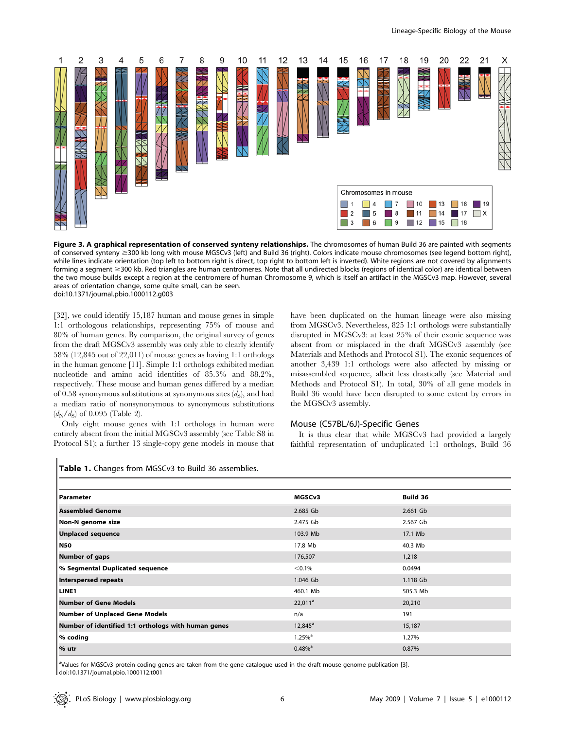

Figure 3. A graphical representation of conserved synteny relationships. The chromosomes of human Build 36 are painted with segments of conserved synteny ≥300 kb long with mouse MGSCv3 (left) and Build 36 (right). Colors indicate mouse chromosomes (see legend bottom right), while lines indicate orientation (top left to bottom right is direct, top right to bottom left is inverted). White regions are not covered by alignments forming a segment ≥300 kb. Red triangles are human centromeres. Note that all undirected blocks (regions of identical color) are identical between the two mouse builds except a region at the centromere of human Chromosome 9, which is itself an artifact in the MGSCv3 map. However, several areas of orientation change, some quite small, can be seen. doi:10.1371/journal.pbio.1000112.g003

[32], we could identify 15,187 human and mouse genes in simple 1:1 orthologous relationships, representing 75% of mouse and 80% of human genes. By comparison, the original survey of genes from the draft MGSCv3 assembly was only able to clearly identify 58% (12,845 out of 22,011) of mouse genes as having 1:1 orthologs in the human genome [11]. Simple 1:1 orthologs exhibited median nucleotide and amino acid identities of 85.3% and 88.2%, respectively. These mouse and human genes differed by a median of 0.58 synonymous substitutions at synonymous sites  $(d_s)$ , and had a median ratio of nonsynonymous to synonymous substitutions  $(d_N/d_S)$  of 0.095 (Table 2).

Only eight mouse genes with 1:1 orthologs in human were entirely absent from the initial MGSCv3 assembly (see Table S8 in Protocol S1); a further 13 single-copy gene models in mouse that

Table 1. Changes from MGSCv3 to Build 36 assemblies.

have been duplicated on the human lineage were also missing from MGSCv3. Nevertheless, 825 1:1 orthologs were substantially disrupted in MGSCv3: at least 25% of their exonic sequence was absent from or misplaced in the draft MGSCv3 assembly (see Materials and Methods and Protocol S1). The exonic sequences of another 3,439 1:1 orthologs were also affected by missing or misassembled sequence, albeit less drastically (see Material and Methods and Protocol S1). In total, 30% of all gene models in Build 36 would have been disrupted to some extent by errors in the MGSCv3 assembly.

#### Mouse (C57BL/6J)-Specific Genes

It is thus clear that while MGSCv3 had provided a largely faithful representation of unduplicated 1:1 orthologs, Build 36

| l Parameter                                         | MGSCv3                | <b>Build 36</b> |
|-----------------------------------------------------|-----------------------|-----------------|
| <b>Assembled Genome</b>                             | 2.685 Gb              | 2.661 Gb        |
| Non-N genome size                                   | 2.475 Gb              | 2.567 Gb        |
| <b>Unplaced sequence</b>                            | 103.9 Mb              | 17.1 Mb         |
| N50                                                 | 17.8 Mb               | 40.3 Mb         |
| <b>Number of gaps</b>                               | 176,507               | 1,218           |
| % Segmental Duplicated sequence                     | < 0.1%                | 0.0494          |
| Interspersed repeats                                | 1.046 Gb              | 1.118 Gb        |
| <b>LINE1</b>                                        | 460.1 Mb              | 505.3 Mb        |
| <b>Number of Gene Models</b>                        | $22,011^a$            | 20,210          |
| Number of Unplaced Gene Models                      | n/a                   | 191             |
| Number of identified 1:1 orthologs with human genes | $12,845^{\circ}$      | 15,187          |
| % coding                                            | $1.25\%$ <sup>a</sup> | 1.27%           |
| % utr                                               | $0.48\%$ <sup>a</sup> | 0.87%           |

aValues for MGSCv3 protein-coding genes are taken from the gene catalogue used in the draft mouse genome publication [3]. doi:10.1371/journal.pbio.1000112.t001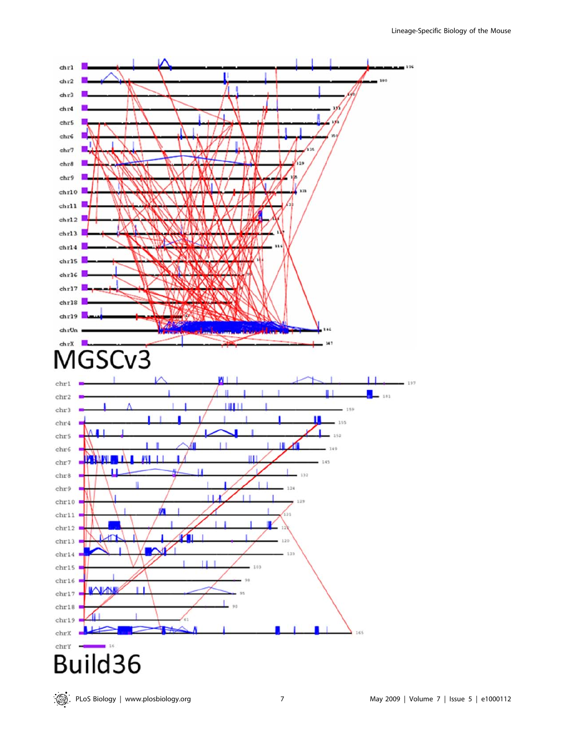

 $\frac{1}{2}$  PLoS Biology | www.plosbiology.org 7 7 May 2009 | Volume 7 | Issue 5 | e1000112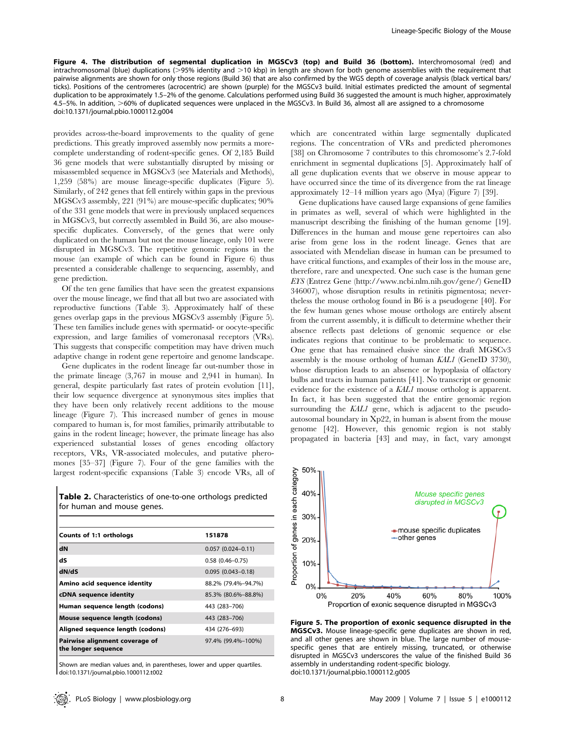Figure 4. The distribution of segmental duplication in MGSCv3 (top) and Build 36 (bottom). Interchromosomal (red) and intrachromosomal (blue) duplications ( $>95\%$  identity and  $>10$  kbp) in length are shown for both genome assemblies with the requirement that pairwise alignments are shown for only those regions (Build 36) that are also confirmed by the WGS depth of coverage analysis (black vertical bars/ ticks). Positions of the centromeres (acrocentric) are shown (purple) for the MGSCv3 build. Initial estimates predicted the amount of segmental duplication to be approximately 1.5–2% of the genome. Calculations performed using Build 36 suggested the amount is much higher, approximately 4.5–5%. In addition, >60% of duplicated sequences were unplaced in the MGSCv3. In Build 36, almost all are assigned to a chromosome doi:10.1371/journal.pbio.1000112.g004

provides across-the-board improvements to the quality of gene predictions. This greatly improved assembly now permits a morecomplete understanding of rodent-specific genes. Of 2,185 Build 36 gene models that were substantially disrupted by missing or misassembled sequence in MGSCv3 (see Materials and Methods), 1,259 (58%) are mouse lineage-specific duplicates (Figure 5). Similarly, of 242 genes that fell entirely within gaps in the previous MGSCv3 assembly, 221 (91%) are mouse-specific duplicates; 90% of the 331 gene models that were in previously unplaced sequences in MGSCv3, but correctly assembled in Build 36, are also mousespecific duplicates. Conversely, of the genes that were only duplicated on the human but not the mouse lineage, only 101 were disrupted in MGSCv3. The repetitive genomic regions in the mouse (an example of which can be found in Figure 6) thus presented a considerable challenge to sequencing, assembly, and gene prediction.

Of the ten gene families that have seen the greatest expansions over the mouse lineage, we find that all but two are associated with reproductive functions (Table 3). Approximately half of these genes overlap gaps in the previous MGSCv3 assembly (Figure 5). These ten families include genes with spermatid- or oocyte-specific expression, and large families of vomeronasal receptors (VRs). This suggests that conspecific competition may have driven much adaptive change in rodent gene repertoire and genome landscape.

Gene duplicates in the rodent lineage far out-number those in the primate lineage (3,767 in mouse and 2,941 in human). In general, despite particularly fast rates of protein evolution [11], their low sequence divergence at synonymous sites implies that they have been only relatively recent additions to the mouse lineage (Figure 7). This increased number of genes in mouse compared to human is, for most families, primarily attributable to gains in the rodent lineage; however, the primate lineage has also experienced substantial losses of genes encoding olfactory receptors, VRs, VR-associated molecules, and putative pheromones [35–37] (Figure 7). Four of the gene families with the largest rodent-specific expansions (Table 3) encode VRs, all of

| Table 2. Characteristics of one-to-one orthologs predicted |  |
|------------------------------------------------------------|--|
| for human and mouse genes.                                 |  |

 $\mathbf{I}$ 

| Counts of 1:1 orthologs                               | 151878                   |
|-------------------------------------------------------|--------------------------|
| dN                                                    | $0.057$ $(0.024 - 0.11)$ |
| dS                                                    | $0.58(0.46 - 0.75)$      |
| dN/dS                                                 | $0.095(0.043 - 0.18)$    |
| Amino acid sequence identity                          | 88.2% (79.4%-94.7%)      |
| <b>cDNA</b> sequence identity                         | 85.3% (80.6%-88.8%)      |
| Human sequence length (codons)                        | 443 (283-706)            |
| Mouse sequence length (codons)                        | 443 (283-706)            |
| Aligned sequence length (codons)                      | 434 (276–693)            |
| Pairwise alignment coverage of<br>the longer sequence | 97.4% (99.4%-100%)       |

Shown are median values and, in parentheses, lower and upper quartiles. doi:10.1371/journal.pbio.1000112.t002

which are concentrated within large segmentally duplicated regions. The concentration of VRs and predicted pheromones [38] on Chromosome 7 contributes to this chromosome's 2.7-fold enrichment in segmental duplications [5]. Approximately half of all gene duplication events that we observe in mouse appear to have occurred since the time of its divergence from the rat lineage approximately 12–14 million years ago (Mya) (Figure 7) [39].

Gene duplications have caused large expansions of gene families in primates as well, several of which were highlighted in the manuscript describing the finishing of the human genome [19]. Differences in the human and mouse gene repertoires can also arise from gene loss in the rodent lineage. Genes that are associated with Mendelian disease in human can be presumed to have critical functions, and examples of their loss in the mouse are, therefore, rare and unexpected. One such case is the human gene EYS (Entrez Gene (http://www.ncbi.nlm.nih.gov/gene/) GeneID 346007), whose disruption results in retinitis pigmentosa; nevertheless the mouse ortholog found in B6 is a pseudogene [40]. For the few human genes whose mouse orthologs are entirely absent from the current assembly, it is difficult to determine whether their absence reflects past deletions of genomic sequence or else indicates regions that continue to be problematic to sequence. One gene that has remained elusive since the draft MGSCv3 assembly is the mouse ortholog of human KAL1 (GeneID 3730), whose disruption leads to an absence or hypoplasia of olfactory bulbs and tracts in human patients [41]. No transcript or genomic evidence for the existence of a KAL1 mouse ortholog is apparent. In fact, it has been suggested that the entire genomic region surrounding the KAL1 gene, which is adjacent to the pseudoautosomal boundary in Xp22, in human is absent from the mouse genome [42]. However, this genomic region is not stably propagated in bacteria [43] and may, in fact, vary amongst



Figure 5. The proportion of exonic sequence disrupted in the MGSCv3. Mouse lineage-specific gene duplicates are shown in red, and all other genes are shown in blue. The large number of mousespecific genes that are entirely missing, truncated, or otherwise disrupted in MGSCv3 underscores the value of the finished Build 36 assembly in understanding rodent-specific biology. doi:10.1371/journal.pbio.1000112.g005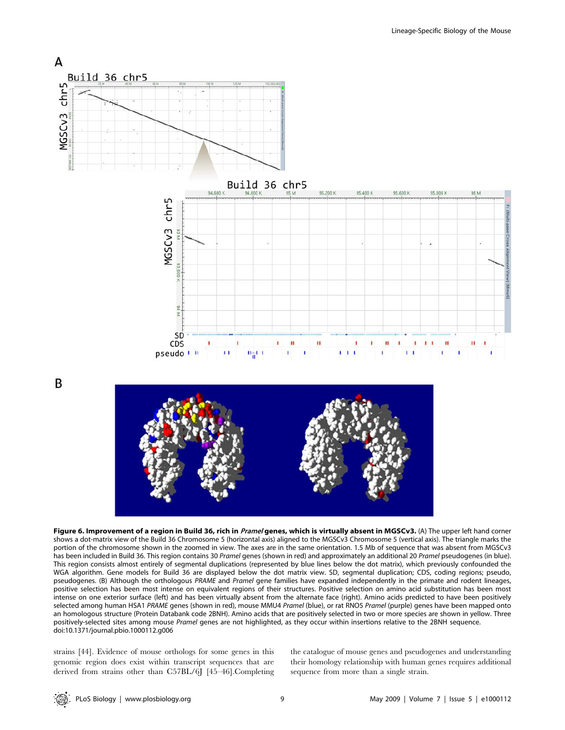

B



Figure 6. Improvement of a region in Build 36, rich in Pramel genes, which is virtually absent in MGSCv3. (A) The upper left hand corner shows a dot-matrix view of the Build 36 Chromosome 5 (horizontal axis) aligned to the MGSCv3 Chromosome 5 (vertical axis). The triangle marks the portion of the chromosome shown in the zoomed in view. The axes are in the same orientation. 1.5 Mb of sequence that was absent from MGSCv3 has been included in Build 36. This region contains 30 Pramel genes (shown in red) and approximately an additional 20 Pramel pseudogenes (in blue). This region consists almost entirely of segmental duplications (represented by blue lines below the dot matrix), which previously confounded the WGA algorithm. Gene models for Build 36 are displayed below the dot matrix view. SD, segmental duplication; CDS, coding regions; pseudo, pseudogenes. (B) Although the orthologous PRAME and Pramel gene families have expanded independently in the primate and rodent lineages, positive selection has been most intense on equivalent regions of their structures. Positive selection on amino acid substitution has been most intense on one exterior surface (left) and has been virtually absent from the alternate face (right). Amino acids predicted to have been positively selected among human HSA1 PRAME genes (shown in red), mouse MMU4 Pramel (blue), or rat RNO5 Pramel (purple) genes have been mapped onto an homologous structure (Protein Databank code 2BNH). Amino acids that are positively selected in two or more species are shown in yellow. Three positively-selected sites among mouse Pramel genes are not highlighted, as they occur within insertions relative to the 2BNH sequence. doi:10.1371/journal.pbio.1000112.g006

strains [44]. Evidence of mouse orthologs for some genes in this genomic region does exist within transcript sequences that are derived from strains other than C57BL/6J [45–46].Completing the catalogue of mouse genes and pseudogenes and understanding their homology relationship with human genes requires additional sequence from more than a single strain.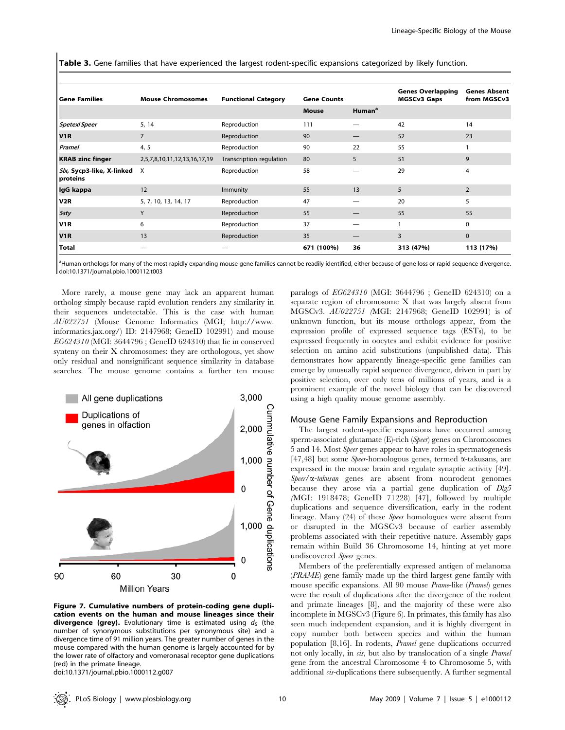Table 3. Gene families that have experienced the largest rodent-specific expansions categorized by likely function.

| <b>Gene Families</b>                  | <b>Mouse Chromosomes</b>     | <b>Functional Category</b> | <b>Gene Counts</b> |                               | <b>Genes Overlapping</b><br><b>MGSCv3 Gaps</b> | <b>Genes Absent</b><br>from MGSCv3 |
|---------------------------------------|------------------------------|----------------------------|--------------------|-------------------------------|------------------------------------------------|------------------------------------|
|                                       |                              |                            | <b>Mouse</b>       | Human <sup>a</sup>            |                                                |                                    |
| <b>Spetex  Speer</b>                  | 5, 14                        | Reproduction               | 111                |                               | 42                                             | 14                                 |
| V <sub>1</sub> R                      | $\overline{7}$               | Reproduction               | 90                 |                               | 52                                             | 23                                 |
| Pramel                                | 4, 5                         | Reproduction               | 90                 | 22                            | 55                                             |                                    |
| <b>KRAB</b> zinc finger               | 2,5,7,8,10,11,12,13,16,17,19 | Transcription regulation   | 80                 | 5                             | 51                                             | 9                                  |
| S/x, Sycp3-like, X-linked<br>proteins | $\mathsf{X}$                 | Reproduction               | 58                 |                               | 29                                             | 4                                  |
| IgG kappa                             | 12                           | Immunity                   | 55                 | 13                            | 5                                              | 2                                  |
| V2R                                   | 5, 7, 10, 13, 14, 17         | Reproduction               | 47                 | $\overbrace{\phantom{13333}}$ | 20                                             | 5                                  |
| Ssty                                  | Y                            | Reproduction               | 55                 |                               | 55                                             | 55                                 |
| V <sub>1</sub> R                      | 6                            | Reproduction               | 37                 |                               |                                                | $\Omega$                           |
| V <sub>1</sub> R                      | 13                           | Reproduction               | 35                 |                               | 3                                              | $\mathbf{0}$                       |
| Total                                 |                              |                            | 671 (100%)         | 36                            | 313 (47%)                                      | 113 (17%)                          |

<sup>a</sup>Human orthologs for many of the most rapidly expanding mouse gene families cannot be readily identified, either because of gene loss or rapid sequence divergence. doi:10.1371/journal.pbio.1000112.t003

More rarely, a mouse gene may lack an apparent human ortholog simply because rapid evolution renders any similarity in their sequences undetectable. This is the case with human AU022751 (Mouse Genome Informatics (MGI; http://www. informatics.jax.org/) ID: 2147968; GeneID 102991) and mouse EG624310 (MGI: 3644796 ; GeneID 624310) that lie in conserved synteny on their X chromosomes: they are orthologous, yet show only residual and nonsignificant sequence similarity in database searches. The mouse genome contains a further ten mouse



Figure 7. Cumulative numbers of protein-coding gene duplication events on the human and mouse lineages since their divergence (grey). Evolutionary time is estimated using  $d_S$  (the number of synonymous substitutions per synonymous site) and a divergence time of 91 million years. The greater number of genes in the mouse compared with the human genome is largely accounted for by the lower rate of olfactory and vomeronasal receptor gene duplications (red) in the primate lineage.

doi:10.1371/journal.pbio.1000112.g007

paralogs of EG624310 (MGI: 3644796 ; GeneID 624310) on a separate region of chromosome X that was largely absent from MGSCv3. AU022751 (MGI: 2147968; GeneID 102991) is of unknown function, but its mouse orthologs appear, from the expression profile of expressed sequence tags (ESTs), to be expressed frequently in oocytes and exhibit evidence for positive selection on amino acid substitutions (unpublished data). This demonstrates how apparently lineage-specific gene families can emerge by unusually rapid sequence divergence, driven in part by positive selection, over only tens of millions of years, and is a prominent example of the novel biology that can be discovered using a high quality mouse genome assembly.

#### Mouse Gene Family Expansions and Reproduction

The largest rodent-specific expansions have occurred among sperm-associated glutamate (E)-rich (Speer) genes on Chromosomes 5 and 14. Most Speer genes appear to have roles in spermatogenesis [47,48] but some *Speer*-homologous genes, termed  $\alpha$ -takusans, are expressed in the mouse brain and regulate synaptic activity [49].  $Speer / \alpha$ -takusan genes are absent from nonrodent genomes because they arose via a partial gene duplication of Dlg5 (MGI: 1918478; GeneID 71228) [47], followed by multiple duplications and sequence diversification, early in the rodent lineage. Many (24) of these Speer homologues were absent from or disrupted in the MGSCv3 because of earlier assembly problems associated with their repetitive nature. Assembly gaps remain within Build 36 Chromosome 14, hinting at yet more undiscovered Speer genes.

Members of the preferentially expressed antigen of melanoma (PRAME) gene family made up the third largest gene family with mouse specific expansions. All 90 mouse Prame-like (Pramel) genes were the result of duplications after the divergence of the rodent and primate lineages [8], and the majority of these were also incomplete in MGSCv3 (Figure 6). In primates, this family has also seen much independent expansion, and it is highly divergent in copy number both between species and within the human population [8,16]. In rodents, Pramel gene duplications occurred not only locally, in cis, but also by translocation of a single Pramel gene from the ancestral Chromosome 4 to Chromosome 5, with additional  $\alpha$ s-duplications there subsequently. A further segmental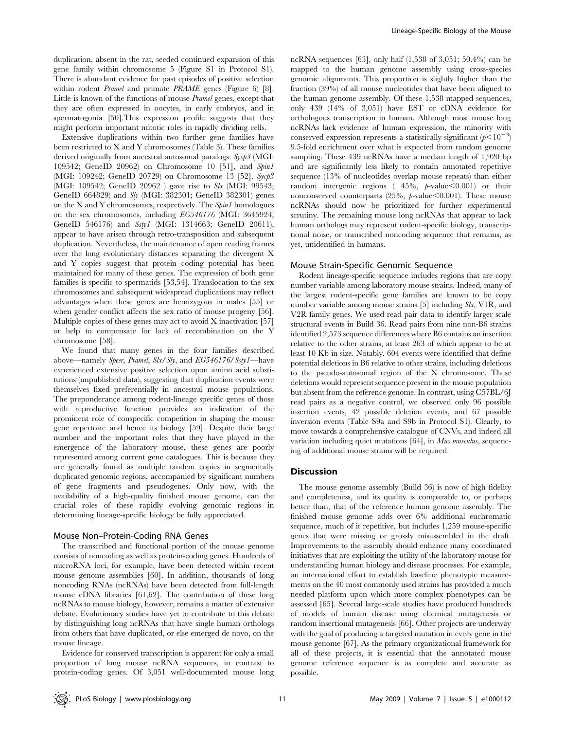duplication, absent in the rat, seeded continued expansion of this gene family within chromosome 5 (Figure S1 in Protocol S1). There is abundant evidence for past episodes of positive selection within rodent *Pramel* and primate *PRAME* genes (Figure 6) [8]. Little is known of the functions of mouse Pramel genes, except that they are often expressed in oocytes, in early embryos, and in spermatogonia [50].This expression profile suggests that they might perform important mitotic roles in rapidly dividing cells.

Extensive duplications within two further gene families have been restricted to X and Y chromosomes (Table 3). These families derived originally from ancestral autosomal paralogs: Sycp3 (MGI: 109542; GeneID 20962) on Chromosome 10 [51], and Spin1 (MGI: 109242; GeneID 20729) on Chromosome 13 [52]. Sycp3 (MGI: 109542; GeneID 20962) gave rise to Slx (MGI: 99543; GeneID 664829) and Sly (MGI: 382301; GeneID 382301) genes on the X and Y chromosomes, respectively. The  $Spin1$  homologues on the sex chromosomes, including EG546176 (MGI: 3645924; GeneID 546176) and Ssty1 (MGI: 1314663; GeneID 20611), appear to have arisen through retro-transposition and subsequent duplication. Nevertheless, the maintenance of open reading frames over the long evolutionary distances separating the divergent X and Y copies suggest that protein coding potential has been maintained for many of these genes. The expression of both gene families is specific to spermatids [53,54]. Translocation to the sex chromosomes and subsequent widespread duplications may reflect advantages when these genes are hemizygous in males [55] or when gender conflict affects the sex ratio of mouse progeny [56]. Multiple copies of these genes may act to avoid X inactivation [57] or help to compensate for lack of recombination on the Y chromosome [58].

We found that many genes in the four families described above—namely Speer, Pramel, Slx/Sly, and EG546176/Ssty1—have experienced extensive positive selection upon amino acid substitutions (unpublished data), suggesting that duplication events were themselves fixed preferentially in ancestral mouse populations. The preponderance among rodent-lineage specific genes of those with reproductive function provides an indication of the prominent role of conspecific competition in shaping the mouse gene repertoire and hence its biology [59]. Despite their large number and the important roles that they have played in the emergence of the laboratory mouse, these genes are poorly represented among current gene catalogues. This is because they are generally found as multiple tandem copies in segmentally duplicated genomic regions, accompanied by significant numbers of gene fragments and pseudogenes. Only now, with the availability of a high-quality finished mouse genome, can the crucial roles of these rapidly evolving genomic regions in determining lineage-specific biology be fully appreciated.

#### Mouse Non–Protein-Coding RNA Genes

The transcribed and functional portion of the mouse genome consists of noncoding as well as protein-coding genes. Hundreds of microRNA loci, for example, have been detected within recent mouse genome assemblies [60]. In addition, thousands of long noncoding RNAs (ncRNAs) have been detected from full-length mouse cDNA libraries [61,62]. The contribution of these long ncRNAs to mouse biology, however, remains a matter of extensive debate. Evolutionary studies have yet to contribute to this debate by distinguishing long ncRNAs that have single human orthologs from others that have duplicated, or else emerged de novo, on the mouse lineage.

Evidence for conserved transcription is apparent for only a small proportion of long mouse ncRNA sequences, in contrast to protein-coding genes. Of 3,051 well-documented mouse long ncRNA sequences [63], only half (1,538 of 3,051; 50.4%) can be mapped to the human genome assembly using cross-species genomic alignments. This proportion is slightly higher than the fraction (39%) of all mouse nucleotides that have been aligned to the human genome assembly. Of these 1,538 mapped sequences, only 439 (14% of 3,051) have EST or cDNA evidence for orthologous transcription in human. Although most mouse long ncRNAs lack evidence of human expression, the minority with conserved expression represents a statistically significant  $(p<10^{-3})$ 9.5-fold enrichment over what is expected from random genome sampling. These 439 ncRNAs have a median length of 1,920 bp and are significantly less likely to contain annotated repetitive sequence (13% of nucleotides overlap mouse repeats) than either random intergenic regions ( $45\%$ ,  $p$ -value $< 0.001$ ) or their nonconserved counterparts (25%,  $p$ -value $<$ 0.001). These mouse ncRNAs should now be prioritized for further experimental scrutiny. The remaining mouse long ncRNAs that appear to lack human orthologs may represent rodent-specific biology, transcriptional noise, or transcribed noncoding sequence that remains, as yet, unidentified in humans.

## Mouse Strain-Specific Genomic Sequence

Rodent lineage-specific sequence includes regions that are copy number variable among laboratory mouse strains. Indeed, many of the largest rodent-specific gene families are known to be copy number variable among mouse strains [5] including Slx, V1R, and V2R family genes. We used read pair data to identify larger scale structural events in Build 36. Read pairs from nine non-B6 strains identified 2,573 sequence differences where B6 contains an insertion relative to the other strains, at least 263 of which appear to be at least 10 Kb in size. Notably, 604 events were identified that define potential deletions in B6 relative to other strains, including deletions to the pseudo-autosomal region of the X chromosome. These deletions would represent sequence present in the mouse population but absent from the reference genome. In contrast, using C57BL/6J read pairs as a negative control, we observed only 96 possible insertion events, 42 possible deletion events, and 67 possible inversion events (Table S9a and S9b in Protocol S1). Clearly, to move towards a comprehensive catalogue of CNVs, and indeed all variation including quiet mutations [64], in Mus musculus, sequencing of additional mouse strains will be required.

## **Discussion**

The mouse genome assembly (Build 36) is now of high fidelity and completeness, and its quality is comparable to, or perhaps better than, that of the reference human genome assembly. The finished mouse genome adds over 6% additional euchromatic sequence, much of it repetitive, but includes 1,259 mouse-specific genes that were missing or grossly misassembled in the draft. Improvements to the assembly should enhance many coordinated initiatives that are exploiting the utility of the laboratory mouse for understanding human biology and disease processes. For example, an international effort to establish baseline phenotypic measurements on the 40 most commonly used strains has provided a much needed platform upon which more complex phenotypes can be assessed [65]. Several large-scale studies have produced hundreds of models of human disease using chemical mutagenesis or random insertional mutagenesis [66]. Other projects are underway with the goal of producing a targeted mutation in every gene in the mouse genome [67]. As the primary organizational framework for all of these projects, it is essential that the annotated mouse genome reference sequence is as complete and accurate as possible.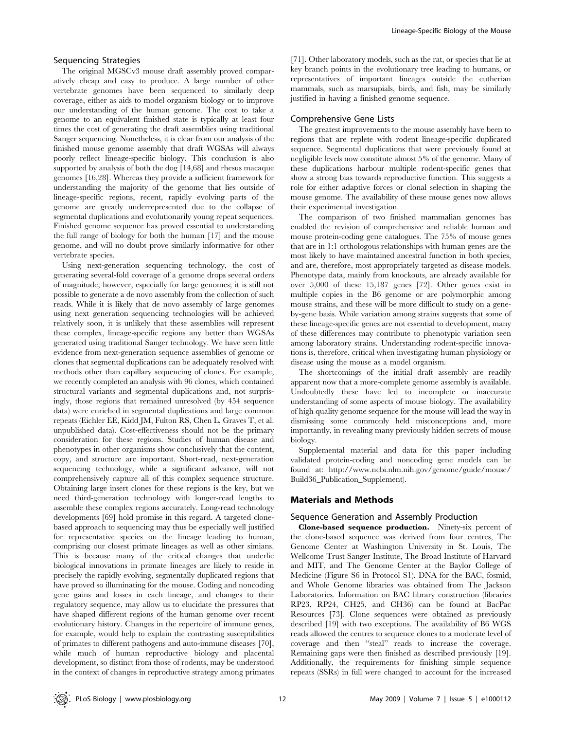#### Sequencing Strategies

The original MGSCv3 mouse draft assembly proved comparatively cheap and easy to produce. A large number of other vertebrate genomes have been sequenced to similarly deep coverage, either as aids to model organism biology or to improve our understanding of the human genome. The cost to take a genome to an equivalent finished state is typically at least four times the cost of generating the draft assemblies using traditional Sanger sequencing. Nonetheless, it is clear from our analysis of the finished mouse genome assembly that draft WGSAs will always poorly reflect lineage-specific biology. This conclusion is also supported by analysis of both the dog [14,68] and rhesus macaque genomes [16,28]. Whereas they provide a sufficient framework for understanding the majority of the genome that lies outside of lineage-specific regions, recent, rapidly evolving parts of the genome are greatly underrepresented due to the collapse of segmental duplications and evolutionarily young repeat sequences. Finished genome sequence has proved essential to understanding the full range of biology for both the human [17] and the mouse genome, and will no doubt prove similarly informative for other vertebrate species.

Using next-generation sequencing technology, the cost of generating several-fold coverage of a genome drops several orders of magnitude; however, especially for large genomes; it is still not possible to generate a de novo assembly from the collection of such reads. While it is likely that de novo assembly of large genomes using next generation sequencing technologies will be achieved relatively soon, it is unlikely that these assemblies will represent these complex, lineage-specific regions any better than WGSAs generated using traditional Sanger technology. We have seen little evidence from next-generation sequence assemblies of genome or clones that segmental duplications can be adequately resolved with methods other than capillary sequencing of clones. For example, we recently completed an analysis with 96 clones, which contained structural variants and segmental duplications and, not surprisingly, those regions that remained unresolved (by 454 sequence data) were enriched in segmental duplications and large common repeats (Eichler EE, Kidd JM, Fulton RS, Chen L, Graves T, et al. unpublished data). Cost-effectiveness should not be the primary consideration for these regions. Studies of human disease and phenotypes in other organisms show conclusively that the content, copy, and structure are important. Short-read, next-generation sequencing technology, while a significant advance, will not comprehensively capture all of this complex sequence structure. Obtaining large insert clones for these regions is the key, but we need third-generation technology with longer-read lengths to assemble these complex regions accurately. Long-read technology developments [69] hold promise in this regard. A targeted clonebased approach to sequencing may thus be especially well justified for representative species on the lineage leading to human, comprising our closest primate lineages as well as other simians. This is because many of the critical changes that underlie biological innovations in primate lineages are likely to reside in precisely the rapidly evolving, segmentally duplicated regions that have proved so illuminating for the mouse. Coding and noncoding gene gains and losses in each lineage, and changes to their regulatory sequence, may allow us to elucidate the pressures that have shaped different regions of the human genome over recent evolutionary history. Changes in the repertoire of immune genes, for example, would help to explain the contrasting susceptibilities of primates to different pathogens and auto-immune diseases [70], while much of human reproductive biology and placental development, so distinct from those of rodents, may be understood in the context of changes in reproductive strategy among primates

[71]. Other laboratory models, such as the rat, or species that lie at key branch points in the evolutionary tree leading to humans, or representatives of important lineages outside the eutherian mammals, such as marsupials, birds, and fish, may be similarly justified in having a finished genome sequence.

#### Comprehensive Gene Lists

The greatest improvements to the mouse assembly have been to regions that are replete with rodent lineage-specific duplicated sequence. Segmental duplications that were previously found at negligible levels now constitute almost 5% of the genome. Many of these duplications harbour multiple rodent-specific genes that show a strong bias towards reproductive function. This suggests a role for either adaptive forces or clonal selection in shaping the mouse genome. The availability of these mouse genes now allows their experimental investigation.

The comparison of two finished mammalian genomes has enabled the revision of comprehensive and reliable human and mouse protein-coding gene catalogues. The 75% of mouse genes that are in 1:1 orthologous relationships with human genes are the most likely to have maintained ancestral function in both species, and are, therefore, most appropriately targeted as disease models. Phenotype data, mainly from knockouts, are already available for over 5,000 of these 15,187 genes [72]. Other genes exist in multiple copies in the B6 genome or are polymorphic among mouse strains, and these will be more difficult to study on a geneby-gene basis. While variation among strains suggests that some of these lineage-specific genes are not essential to development, many of these differences may contribute to phenotypic variation seen among laboratory strains. Understanding rodent-specific innovations is, therefore, critical when investigating human physiology or disease using the mouse as a model organism.

The shortcomings of the initial draft assembly are readily apparent now that a more-complete genome assembly is available. Undoubtedly these have led to incomplete or inaccurate understanding of some aspects of mouse biology. The availability of high quality genome sequence for the mouse will lead the way in dismissing some commonly held misconceptions and, more importantly, in revealing many previously hidden secrets of mouse biology.

Supplemental material and data for this paper including validated protein-coding and noncoding gene models can be found at: http://www.ncbi.nlm.nih.gov/genome/guide/mouse/ Build36\_Publication\_Supplement).

#### Materials and Methods

#### Sequence Generation and Assembly Production

Clone-based sequence production. Ninety-six percent of the clone-based sequence was derived from four centres, The Genome Center at Washington University in St. Louis, The Wellcome Trust Sanger Institute, The Broad Institute of Harvard and MIT, and The Genome Center at the Baylor College of Medicine (Figure S6 in Protocol S1). DNA for the BAC, fosmid, and Whole Genome libraries was obtained from The Jackson Laboratories. Information on BAC library construction (libraries RP23, RP24, CH25, and CH36) can be found at BacPac Resources [73]. Clone sequences were obtained as previously described [19] with two exceptions. The availability of B6 WGS reads allowed the centres to sequence clones to a moderate level of coverage and then ''steal'' reads to increase the coverage. Remaining gaps were then finished as described previously [19]. Additionally, the requirements for finishing simple sequence repeats (SSRs) in full were changed to account for the increased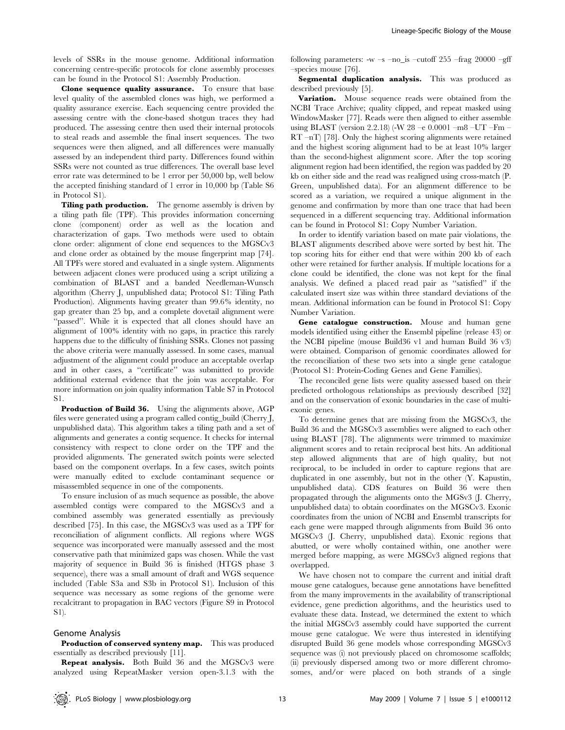levels of SSRs in the mouse genome. Additional information concerning centre-specific protocols for clone assembly processes can be found in the Protocol S1: Assembly Production.

Clone sequence quality assurance. To ensure that base level quality of the assembled clones was high, we performed a quality assurance exercise. Each sequencing centre provided the assessing centre with the clone-based shotgun traces they had produced. The assessing centre then used their internal protocols to steal reads and assemble the final insert sequences. The two sequences were then aligned, and all differences were manually assessed by an independent third party. Differences found within SSRs were not counted as true differences. The overall base level error rate was determined to be 1 error per 50,000 bp, well below the accepted finishing standard of 1 error in 10,000 bp (Table S6 in Protocol S1).

Tiling path production. The genome assembly is driven by a tiling path file (TPF). This provides information concerning clone (component) order as well as the location and characterization of gaps. Two methods were used to obtain clone order: alignment of clone end sequences to the MGSCv3 and clone order as obtained by the mouse fingerprint map [74]. All TPFs were stored and evaluated in a single system. Alignments between adjacent clones were produced using a script utilizing a combination of BLAST and a banded Needleman-Wunsch algorithm (Cherry J, unpublished data; Protocol S1: Tiling Path Production). Alignments having greater than 99.6% identity, no gap greater than 25 bp, and a complete dovetail alignment were "passed". While it is expected that all clones should have an alignment of 100% identity with no gaps, in practice this rarely happens due to the difficulty of finishing SSRs. Clones not passing the above criteria were manually assessed. In some cases, manual adjustment of the alignment could produce an acceptable overlap and in other cases, a ''certificate'' was submitted to provide additional external evidence that the join was acceptable. For more information on join quality information Table S7 in Protocol S1.

Production of Build 36. Using the alignments above, AGP files were generated using a program called contig\_build (Cherry J, unpublished data). This algorithm takes a tiling path and a set of alignments and generates a contig sequence. It checks for internal consistency with respect to clone order on the TPF and the provided alignments. The generated switch points were selected based on the component overlaps. In a few cases, switch points were manually edited to exclude contaminant sequence or misassembled sequence in one of the components.

To ensure inclusion of as much sequence as possible, the above assembled contigs were compared to the MGSCv3 and a combined assembly was generated essentially as previously described [75]. In this case, the MGSCv3 was used as a TPF for reconciliation of alignment conflicts. All regions where WGS sequence was incorporated were manually assessed and the most conservative path that minimized gaps was chosen. While the vast majority of sequence in Build 36 is finished (HTGS phase 3 sequence), there was a small amount of draft and WGS sequence included (Table S3a and S3b in Protocol S1). Inclusion of this sequence was necessary as some regions of the genome were recalcitrant to propagation in BAC vectors (Figure S9 in Protocol S1).

## Genome Analysis

Production of conserved synteny map. This was produced essentially as described previously [11].

Repeat analysis. Both Build 36 and the MGSCv3 were analyzed using RepeatMasker version open-3.1.3 with the following parameters:  $-w - s - no$  is  $-cutoff$  255 –frag 20000 –gff –species mouse [76].

Segmental duplication analysis. This was produced as described previously [5].

Variation. Mouse sequence reads were obtained from the NCBI Trace Archive; quality clipped, and repeat masked using WindowMasker [77]. Reads were then aligned to either assemble using BLAST (version 2.2.18) (-W 28 –e 0.0001 –m8 –UT –Fm – RT –nT) [78]. Only the highest scoring alignments were retained and the highest scoring alignment had to be at least 10% larger than the second-highest alignment score. After the top scoring alignment region had been identified, the region was padded by 20 kb on either side and the read was realigned using cross-match (P. Green, unpublished data). For an alignment difference to be scored as a variation, we required a unique alignment in the genome and confirmation by more than one trace that had been sequenced in a different sequencing tray. Additional information can be found in Protocol S1: Copy Number Variation.

In order to identify variation based on mate pair violations, the BLAST alignments described above were sorted by best hit. The top scoring hits for either end that were within 200 kb of each other were retained for further analysis. If multiple locations for a clone could be identified, the clone was not kept for the final analysis. We defined a placed read pair as ''satisfied'' if the calculated insert size was within three standard deviations of the mean. Additional information can be found in Protocol S1: Copy Number Variation.

Gene catalogue construction. Mouse and human gene models identified using either the Ensembl pipeline (release 43) or the NCBI pipeline (mouse Build36 v1 and human Build 36 v3) were obtained. Comparison of genomic coordinates allowed for the reconciliation of these two sets into a single gene catalogue (Protocol S1: Protein-Coding Genes and Gene Families).

The reconciled gene lists were quality assessed based on their predicted orthologous relationships as previously described [32] and on the conservation of exonic boundaries in the case of multiexonic genes.

To determine genes that are missing from the MGSCv3, the Build 36 and the MGSCv3 assemblies were aligned to each other using BLAST [78]. The alignments were trimmed to maximize alignment scores and to retain reciprocal best hits. An additional step allowed alignments that are of high quality, but not reciprocal, to be included in order to capture regions that are duplicated in one assembly, but not in the other (Y. Kapustin, unpublished data). CDS features on Build 36 were then propagated through the alignments onto the MGSv3 (J. Cherry, unpublished data) to obtain coordinates on the MGSCv3. Exonic coordinates from the union of NCBI and Ensembl transcripts for each gene were mapped through alignments from Build 36 onto MGSCv3 (J. Cherry, unpublished data). Exonic regions that abutted, or were wholly contained within, one another were merged before mapping, as were MGSCv3 aligned regions that overlapped.

We have chosen not to compare the current and initial draft mouse gene catalogues, because gene annotations have benefitted from the many improvements in the availability of transcriptional evidence, gene prediction algorithms, and the heuristics used to evaluate these data. Instead, we determined the extent to which the initial MGSCv3 assembly could have supported the current mouse gene catalogue. We were thus interested in identifying disrupted Build 36 gene models whose corresponding MGSCv3 sequence was (i) not previously placed on chromosome scaffolds; (ii) previously dispersed among two or more different chromosomes, and/or were placed on both strands of a single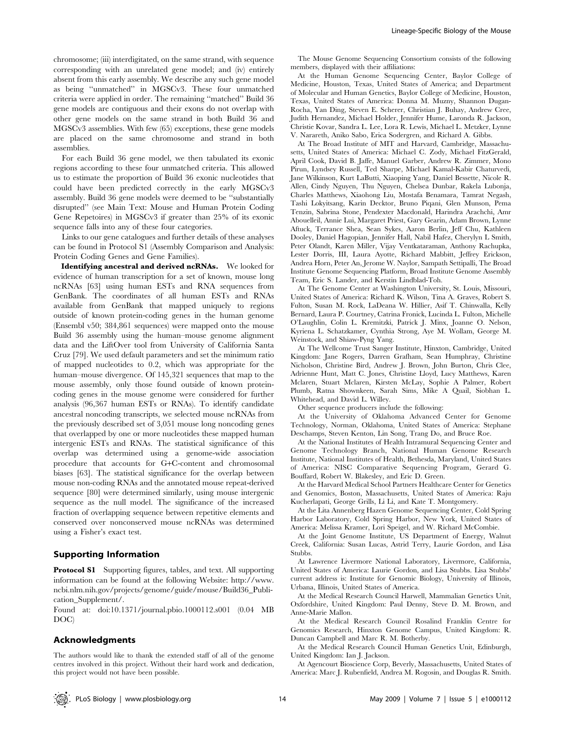chromosome; (iii) interdigitated, on the same strand, with sequence corresponding with an unrelated gene model; and (iv) entirely absent from this early assembly. We describe any such gene model as being ''unmatched'' in MGSCv3. These four unmatched criteria were applied in order. The remaining ''matched'' Build 36 gene models are contiguous and their exons do not overlap with other gene models on the same strand in both Build 36 and MGSCv3 assemblies. With few (65) exceptions, these gene models are placed on the same chromosome and strand in both assemblies.

For each Build 36 gene model, we then tabulated its exonic regions according to these four unmatched criteria. This allowed us to estimate the proportion of Build 36 exonic nucleotides that could have been predicted correctly in the early MGSCv3 assembly. Build 36 gene models were deemed to be ''substantially disrupted'' (see Main Text: Mouse and Human Protein Coding Gene Repetoires) in MGSCv3 if greater than 25% of its exonic sequence falls into any of these four categories.

Links to our gene catalogues and further details of these analyses can be found in Protocol S1 (Assembly Comparison and Analysis: Protein Coding Genes and Gene Families).

Identifying ancestral and derived ncRNAs. We looked for evidence of human transcription for a set of known, mouse long ncRNAs [63] using human ESTs and RNA sequences from GenBank. The coordinates of all human ESTs and RNAs available from GenBank that mapped uniquely to regions outside of known protein-coding genes in the human genome (Ensembl v50; 384,861 sequences) were mapped onto the mouse Build 36 assembly using the human–mouse genome alignment data and the LiftOver tool from University of California Santa Cruz [79]. We used default parameters and set the minimum ratio of mapped nucleotides to 0.2, which was appropriate for the human–mouse divergence. Of 145,321 sequences that map to the mouse assembly, only those found outside of known proteincoding genes in the mouse genome were considered for further analysis (96,367 human ESTs or RNAs). To identify candidate ancestral noncoding transcripts, we selected mouse ncRNAs from the previously described set of 3,051 mouse long noncoding genes that overlapped by one or more nucleotides these mapped human intergenic ESTs and RNAs. The statistical significance of this overlap was determined using a genome-wide association procedure that accounts for G*+*C-content and chromosomal biases [63]. The statistical significance for the overlap between mouse non-coding RNAs and the annotated mouse repeat-derived sequence [80] were determined similarly, using mouse intergenic sequence as the null model. The significance of the increased fraction of overlapping sequence between repetitive elements and conserved over nonconserved mouse ncRNAs was determined using a Fisher's exact test.

## Supporting Information

**Protocol S1** Supporting figures, tables, and text. All supporting information can be found at the following Website: http://www. ncbi.nlm.nih.gov/projects/genome/guide/mouse/Build36\_Publication\_Supplement/.

Found at: doi:10.1371/journal.pbio.1000112.s001 (0.04 MB DOC)

## Acknowledgments

The authors would like to thank the extended staff of all of the genome centres involved in this project. Without their hard work and dedication, this project would not have been possible.

The Mouse Genome Sequencing Consortium consists of the following members, displayed with their affiliations:

At the Human Genome Sequencing Center, Baylor College of Medicine, Houston, Texas, United States of America; and Department of Molecular and Human Genetics, Baylor College of Medicine, Houston, Texas, United States of America: Donna M. Muzny, Shannon Dugan-Rocha, Yan Ding, Steven E. Scherer, Christian J. Buhay, Andrew Cree, Judith Hernandez, Michael Holder, Jennifer Hume, Laronda R. Jackson, Christie Kovar, Sandra L. Lee, Lora R. Lewis, Michael L. Metzker, Lynne V. Narareth, Aniko Sabo, Erica Sodergren, and Richard A. Gibbs.

At The Broad Institute of MIT and Harvard, Cambridge, Massachusetts, United States of America: Michael C. Zody, Michael FitzGerald, April Cook, David B. Jaffe, Manuel Garber, Andrew R. Zimmer, Mono Pirun, Lyndsey Russell, Ted Sharpe, Michael Kamal-Kabir Chaturvedi, Jane Wilkinson, Kurt LaButti, Xiaoping Yang, Daniel Bessette, Nicole R. Allen, Cindy Nguyen, Thu Nguyen, Chelsea Dunbar, Rakela Lubonja, Charles Matthews, Xiaohong Liu, Mostafa Benamara, Tamrat Negash, Tashi Lokyitsang, Karin Decktor, Bruno Piqani, Glen Munson, Pema Tenzin, Sabrina Stone, Pendexter Macdonald, Harindra Arachchi, Amr Abouelleil, Annie Lui, Margaret Priest, Gary Gearin, Adam Brown, Lynne Aftuck, Terrance Shea, Sean Sykes, Aaron Berlin, Jeff Chu, Kathleen Dooley, Daniel Hagopian, Jennifer Hall, Nabil Hafez, Cherylyn L Smith, Peter Olandt, Karen Miller, Vijay Ventkataraman, Anthony Rachupka, Lester Dorris, III, Laura Ayotte, Richard Mabbitt, Jeffrey Erickson, Andrea Horn, Peter An, Jerome W. Naylor, Sampath Settipalli, The Broad Institute Genome Sequencing Platform, Broad Institute Genome Assembly Team, Eric S. Lander, and Kerstin Lindblad-Toh.

At The Genome Center at Washington University, St. Louis, Missouri, United States of America: Richard K. Wilson, Tina A. Graves, Robert S. Fulton, Susan M. Rock, LaDeana W. Hillier, Asif T. Chinwalla, Kelly Bernard, Laura P. Courtney, Catrina Fronick, Lucinda L. Fulton, Michelle O'Laughlin, Colin L. Kremitzki, Patrick J. Minx, Joanne O. Nelson, Kyriena L. Schatzkamer, Cynthia Strong, Aye M. Wollam, George M. Weinstock, and Shiaw-Pyng Yang.

At The Wellcome Trust Sanger Institute, Hinxton, Cambridge, United Kingdom: Jane Rogers, Darren Grafham, Sean Humphray, Christine Nicholson, Christine Bird, Andrew J. Brown, John Burton, Chris Clee, Adrienne Hunt, Matt C. Jones, Christine Lloyd, Lucy Matthews, Karen Mclaren, Stuart Mclaren, Kirsten McLay, Sophie A Palmer, Robert Plumb, Ratna Shownkeen, Sarah Sims, Mike A Quail, Siobhan L. Whitehead, and David L. Willey.

Other sequence producers include the following:

At the University of Oklahoma Advanced Center for Genome Technology, Norman, Oklahoma, United States of America: Stephane Deschamps, Steven Kenton, Lin Song, Trang Do, and Bruce Roe.

At the National Institutes of Health Intramural Sequencing Center and Genome Technology Branch, National Human Genome Research Institute, National Institutes of Health, Bethesda, Maryland, United States of America: NISC Comparative Sequencing Program, Gerard G. Bouffard, Robert W. Blakesley, and Eric D. Green.

At the Harvard Medical School Partners Healthcare Center for Genetics and Genomics, Boston, Massachusetts, United States of America: Raju Kucherlapati, George Grills, Li Li, and Kate T. Montgomery.

At the Lita Annenberg Hazen Genome Sequencing Center, Cold Spring Harbor Laboratory, Cold Spring Harbor, New York, United States of America: Melissa Kramer, Lori Speigel, and W. Richard McCombie.

At the Joint Genome Institute, US Department of Energy, Walnut Creek, California: Susan Lucas, Astrid Terry, Laurie Gordon, and Lisa Stubbs.

At Lawrence Livermore National Laboratory, Livermore, California, United States of America: Laurie Gordon, and Lisa Stubbs. Lisa Stubbs' current address is: Institute for Genomic Biology, University of Illinois, Urbana, Illinois, United States of America.

At the Medical Research Council Harwell, Mammalian Genetics Unit, Oxfordshire, United Kingdom: Paul Denny, Steve D. M. Brown, and Anne-Marie Mallon.

At the Medical Research Council Rosalind Franklin Centre for Genomics Research, Hinxton Genome Campus, United Kingdom: R. Duncan Campbell and Marc R. M. Botherby.

At the Medical Research Council Human Genetics Unit, Edinburgh, United Kingdom: Ian J. Jackson.

At Agencourt Bioscience Corp, Beverly, Massachusetts, United States of America: Marc J. Rubenfield, Andrea M. Rogosin, and Douglas R. Smith.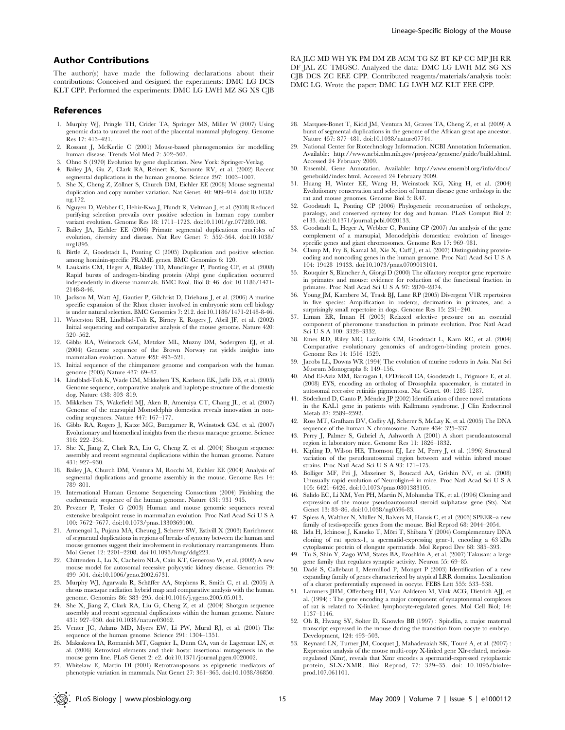The author(s) have made the following declarations about their contributions: Conceived and designed the experiments: DMC LG DCS KLT CPP. Performed the experiments: DMC LG LWH MZ SG XS CJB

#### References

- 1. Murphy WJ, Pringle TH, Crider TA, Springer MS, Miller W (2007) Using genomic data to unravel the root of the placental mammal phylogeny. Genome Res 17: 413–421.
- 2. Rossant J, McKerlie C (2001) Mouse-based phenogenomics for modelling human disease. Trends Mol Med 7: 502–507.
- 3. Ohno S (1970) Evolution by gene duplication. New York: Springer-Verlag.
- 4. Bailey JA, Gu Z, Clark RA, Reinert K, Samonte RV, et al. (2002) Recent segmental duplications in the human genome. Science 297: 1003–1007.
- 5. She X, Cheng Z, Zöllner S, Church DM, Eichler EE (2008) Mouse segmental duplication and copy number variation. Nat Genet. 40: 909–914. doi:10.1038/ ng.172.
- 6. Nguyen D, Webber C, Hehir-Kwa J, Pfundt R, Veltman J, et al. (2008) Reduced purifying selection prevails over positive selection in human copy number variant evolution. Genome Res 18: 1711–1723. doi:10.1101/gr.077289.108.
- 7. Bailey JA, Eichler EE (2006) Primate segmental duplications: crucibles of evolution, diversity and disease. Nat Rev Genet 7: 552–564. doi:10.1038/ nrg1895.
- 8. Birtle Z, Goodstadt L, Ponting C (2005) Duplication and positive selection among hominin-specific PRAME genes. BMC Genomics 6: 120.
- 9. Laukaitis CM, Heger A, Blakley TD, Munclinger P, Ponting CP, et al. (2008) Rapid bursts of androgen-binding protein (Abp) gene duplication occurred independently in diverse mammals. BMC Evol. Biol 8: 46. doi: 10.1186/1471- 2148-8-46.
- 10. Jackson M, Watt AJ, Gautier P, Gilchrist D, Driehaus J, et al. (2006) A murine specific expansion of the Rhox cluster involved in embryonic stem cell biology is under natural selection. BMC Genomics 7: 212. doi:10.1186/1471-2148-8-46.
- 11. Waterston RH, Lindblad-Toh K, Birney E, Rogers J, Abril JF, et al. (2002) Initial sequencing and comparative analysis of the mouse genome. Nature 420: 520–562.
- 12. Gibbs RA, Weinstock GM, Metzker ML, Muzny DM, Sodergren EJ, et al. (2004) Genome sequence of the Brown Norway rat yields insights into mammalian evolution. Nature 428: 493–521.
- 13. Initial sequence of the chimpanzee genome and comparison with the human genome (2005) Nature 437: 69–87.
- 14. Lindblad-Toh K, Wade CM, Mikkelsen TS, Karlsson EK, Jaffe DB, et al. (2005) Genome sequence, comparative analysis and haplotype structure of the domestic dog. Nature 438: 803–819.
- 15. Mikkelsen TS, Wakefield MJ, Aken B, Amemiya CT, Chang JL, et al. (2007) Genome of the marsupial Monodelphis domestica reveals innovation in noncoding sequences. Nature 447: 167–177.
- 16. Gibbs RA, Rogers J, Katze MG, Bumgarner R, Weinstock GM, et al. (2007) Evolutionary and biomedical insights from the rhesus macaque genome. Science 316: 222–234.
- 17. She X, Jiang Z, Clark RA, Liu G, Cheng Z, et al. (2004) Shotgun sequence assembly and recent segmental duplications within the human genome. Nature 431: 927–930.
- 18. Bailey JA, Church DM, Ventura M, Rocchi M, Eichler EE (2004) Analysis of segmental duplications and genome assembly in the mouse. Genome Res 14: 789–801.
- 19. International Human Genome Sequencing Consortium (2004) Finishing the euchromatic sequence of the human genome. Nature 431: 931–945.
- 20. Pevzner P, Tesler G (2003) Human and mouse genomic sequences reveal extensive breakpoint reuse in mammalian evolution. Proc Natl Acad Sci U S A 100: 7672–7677. doi:10.1073/pnas.1330369100.
- 21. Armengol L, Pujana MA, Cheung J, Scherer SW, Estivill X (2003) Enrichment of segmental duplications in regions of breaks of synteny between the human and mouse genomes suggest their involvement in evolutionary rearrangements. Hum Mol Genet 12: 2201–2208. doi:10.1093/hmg/ddg223.
- 22. Chittenden L, Lu X, Cacheiro NLA, Cain KT, Generoso W, et al. (2002) A new mouse model for autosomal recessive polycystic kidney disease. Genomics 79: 499–504. doi:10.1006/geno.2002.6731.
- 23. Murphy WJ, Agarwala R, Schäffer AA, Stephens R, Smith C, et al. (2005) A rhesus macaque radiation hybrid map and comparative analysis with the human genome. Genomics 86: 383–295. doi:10.1016/j.ygeno.2005.05.013.
- 24. She X, Jiang Z, Clark RA, Liu G, Cheng Z, et al. (2004) Shotgun sequence assembly and recent segmental duplications within the human genome. Nature 431: 927–930. doi:10.1038/nature03062.
- 25. Venter JC, Adams MD, Myers EW, Li PW, Mural RJ, et al. (2001) The sequence of the human genome. Science 291: 1304–1351.
- 26. Maksakova IA, Romanish MT, Gagnier L, Dunn CA, van de Lagemaat LN, et al. (2006) Retroviral elements and their hosts: insertional mutagenesis in the mouse germ line. PLoS Genet 2: e2. doi:10.1371/journal.pgen.0020002.
- 27. Whitelaw E, Martin DI (2001) Retrotransposons as epigenetic mediators of phenotypic variation in mammals. Nat Genet 27: 361–365. doi:10.1038/86850.

RA JLC MD WH YK PM DM ZB ACM TG SZ BT KP CC MP JH RR DF JAL ZC TMGSC. Analyzed the data: DMC LG LWH MZ SG XS CJB DCS ZC EEE CPP. Contributed reagents/materials/analysis tools: DMC LG. Wrote the paper: DMC LG LWH MZ KLT EEE CPP.

- 28. Marques-Bonet T, Kidd JM, Ventura M, Graves TA, Cheng Z, et al. (2009) A burst of segmental duplications in the genome of the African great ape ancestor. Nature 457: 877–481. doi:10.1038/nature07744.
- 29. National Center for Biotechnology Information. NCBI Annotation Information. Available: http://www.ncbi.nlm.nih.gov/projects/genome/guide/build.shtml. Accessed 24 February 2009.
- 30. Ensembl. Gene Annotation. Available: http://www.ensembl.org/info/docs/ genebuild/index.html. Accessed 24 February 2009.
- 31. Huang H, Winter EE, Wang H, Weinstock KG, Xing H, et al. (2004) Evolutionary conservation and selection of human disease gene orthologs in the rat and mouse genomes. Genome Biol 5: R47.
- 32. Goodstadt L, Ponting CP (2006) Phylogenetic reconstruction of orthology, paralogy, and conserved synteny for dog and human. PLoS Comput Biol 2: e133. doi:10.1371/journal.pcbi.0020133.
- 33. Goodstadt L, Heger A, Webber C, Ponting CP (2007) An analysis of the gene complement of a marsupial, Monodelphis domestica: evolution of lineagespecific genes and giant chromosomes. Genome Res 17: 969–981.
- 34. Clamp M, Fry B, Kamal M, Xie X, Cuff J, et al. (2007) Distinguishing proteincoding and noncoding genes in the human genome. Proc Natl Acad Sci U S A 104: 19428–19433. doi:10.1073/pnas.0709013104.
- 35. Rouquier S, Blancher A, Giorgi D (2000) The olfactory receptor gene repertoire in primates and mouse: evidence for reduction of the functional fraction in primates. Proc Natl Acad Sci U S A 97: 2870–2874.
- 36. Young JM, Kambere M, Trask BJ, Lane RP (2005) Divergent V1R repertoires in five species: Amplification in rodents, decimation in primates, and a surprisingly small repertoire in dogs. Genome Res 15: 231–240.
- 37. Liman ER, Innan H (2003) Relaxed selective pressure on an essential component of pheromone transduction in primate evolution. Proc Natl Acad Sci U S A 100: 3328–3332.
- 38. Emes RD, Riley MC, Laukaitis CM, Goodstadt L, Karn RC, et al. (2004) Comparative evolutionary genomics of androgen-binding protein genes. Genome Res 14: 1516–1529.
- 39. Jacobs LL, Downs WR (1994) The evolution of murine rodents in Asia. Nat Sci Museum Monographs 8: 149–156.
- 40. Abd El-Aziz MM, Barragan I, O'Driscoll CA, Goodstadt L, Prigmore E, et al. (2008) EYS, encoding an ortholog of Drosophila spacemaker, is mutated in autosomal recessive retinitis pigmentosa. Nat Genet. 40: 1285–1287.
- 41. Söderlund D, Canto P, Méndez JP (2002) Identification of three novel mutations in the KAL1 gene in patients with Kallmann syndrome. J Clin Endocrinol Metab 87: 2589–2592.
- 42. Ross MT, Grafham DV, Coffey AJ, Scherer S, McLay K, et al. (2005) The DNA sequence of the human X chromosome. Nature 434: 325–337.
- 43. Perry J, Palmer S, Gabriel A, Ashworth A (2001) A short pseudoautosomal region in laboratory mice. Genome Res 11: 1826–1832.
- 44. Kipling D, Wilson HE, Thomson EJ, Lee M, Perry J, et al. (1996) Structural variation of the pseudoautosomal region between and within inbred mouse strains. Proc Natl Acad Sci U S A 93: 171–175.
- 45. Bolliger MF, Pei J, Maxeiner S, Boucard AA, Grishin NV, et al. (2008) Unusually rapid evolution of Neuroligin-4 in mice. Proc Natl Acad Sci U S A 105: 6421–6426. doi:10.1073/pnas.0801383105.
- 46. Salido EC, Li XM, Yen PH, Martin N, Mohandas TK, et al. (1996) Cloning and expression of the mouse pseudoautosomal steroid sulphatase gene (Sts). Nat Genet 13: 83–86. doi:10.1038/ng0596-83.
- 47. Spiess A, Walther N, Müller N, Balvers M, Hansis C, et al. (2003) SPEER-a new family of testis-specific genes from the mouse. Biol Reprod 68: 2044–2054.
- 48. Iida H, Ichinose J, Kaneko T, Mōri T, Shibata Y (2004) Complementary DNA cloning of rat spetex-1, a spermatid-expressing gene-1, encoding a 63 kDa cytoplasmic protein of elongate spermatids. Mol Reprod Dev 68: 385–393.
- 49. Tu S, Shin Y, Zago WM, States BA, Eroshkin A, et al. (2007) Takusan: a large gene family that regulates synaptic activity. Neuron 55: 69–85.
- 50. Dade´ S, Callebaut I, Mermillod P, Monget P (2003) Identification of a new expanding family of genes characterized by atypical LRR domains. Localization of a cluster preferentially expressed in oocyte. FEBS Lett 555: 533–538.
- 51. Lammers JHM, Offenberg HH, Van Aalderen M, Vink ACG, Dietrich AJJ, et al. (1994) : The gene encoding a major component of synaptonemal complexes of rat is related to X-linked lymphocyte-regulated genes. Mol Cell Biol; 14: 1137–1146.
- 52. Oh B, Hwang SY, Solter D, Knowles BB (1997) : Spindlin, a major maternal transcript expressed in the mouse during the transition from oocyte to embryo. Development, 124: 493–503.
- 53. Reynard LN, Turner JM, Cocquet J, Mahadevaiah SK, Touré A, et al. (2007) : Expression analysis of the mouse multi-copy X-linked gene Xlr-related, meiosisregulated (Xmr), reveals that Xmr encodes a spermatid-expressed cytoplasmic protein, SLX/XMR. Biol Reprod, 77: 329–35. doi: 10.1095/biolreprod.107.061101.